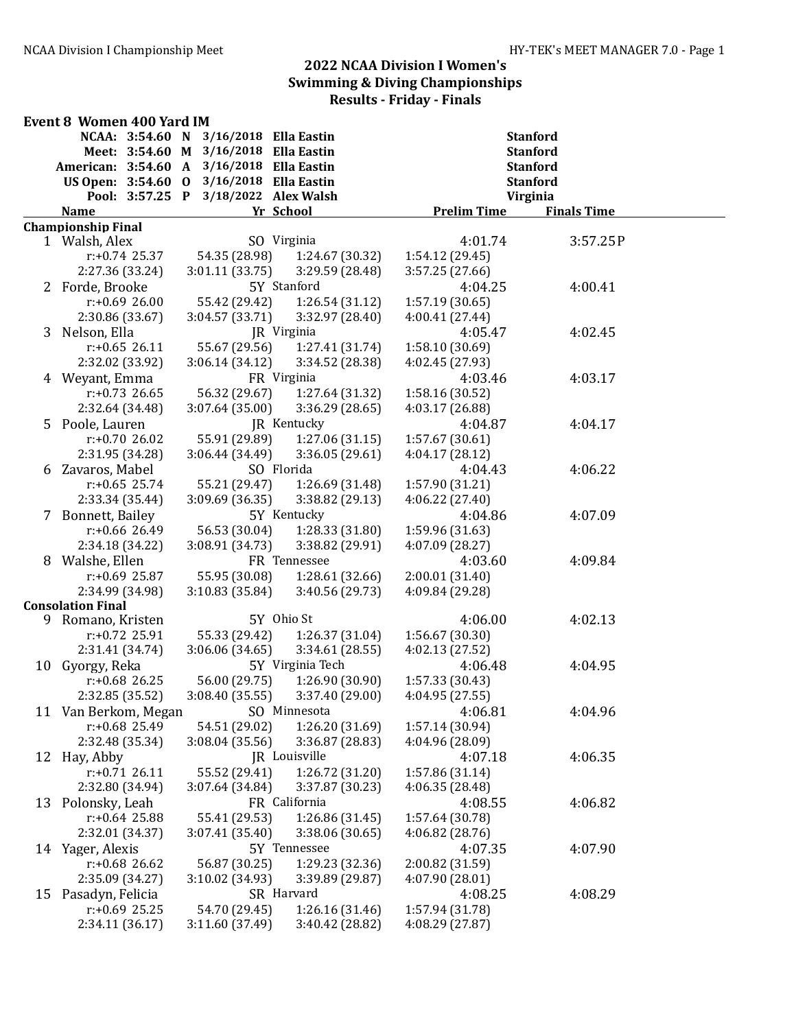| NCAA: 3:54.60 N<br>3/16/2018 Ella Eastin<br><b>Stanford</b><br>Meet: 3:54.60 M 3/16/2018 Ella Eastin<br><b>Stanford</b><br>American: 3:54.60 A<br>3/16/2018 Ella Eastin<br><b>Stanford</b><br>US Open: 3:54.60 0<br>3/16/2018 Ella Eastin<br><b>Stanford</b><br>3/18/2022 Alex Walsh<br>Virginia<br>Pool: 3:57.25 P<br><b>Prelim Time</b><br><b>Finals Time</b><br><b>Name</b><br>Yr School<br><b>Championship Final</b><br>SO Virginia<br>1 Walsh, Alex<br>4:01.74<br>3:57.25P<br>54.35 (28.98)<br>$r: +0.74$ 25.37<br>1:24.67 (30.32)<br>1:54.12 (29.45)<br>2:27.36 (33.24)<br>3:01.11 (33.75)<br>3:29.59 (28.48)<br>3:57.25 (27.66)<br>5Y Stanford<br>4:00.41<br>2 Forde, Brooke<br>4:04.25<br>$r: +0.6926.00$<br>55.42 (29.42)<br>1:26.54(31.12)<br>1:57.19(30.65)<br>2:30.86 (33.67)<br>3:04.57 (33.71)<br>3:32.97 (28.40)<br>4:00.41 (27.44)<br>3 Nelson, Ella<br>4:02.45<br>JR Virginia<br>4:05.47<br>55.67 (29.56)<br>1:27.41 (31.74)<br>$r: +0.65$ 26.11<br>1:58.10 (30.69)<br>2:32.02 (33.92)<br>3:06.14(34.12)<br>3:34.52 (28.38)<br>4:02.45 (27.93)<br>4 Weyant, Emma<br>4:03.17<br>FR Virginia<br>4:03.46<br>56.32 (29.67)<br>$r: +0.73$ 26.65<br>1:27.64 (31.32)<br>1:58.16 (30.52)<br>2:32.64 (34.48)<br>3:07.64 (35.00)<br>3:36.29(28.65)<br>4:03.17 (26.88)<br>5 Poole, Lauren<br>JR Kentucky<br>4:04.87<br>4:04.17<br>$r: +0.7026.02$<br>55.91 (29.89)<br>1:27.06(31.15)<br>1:57.67 (30.61)<br>2:31.95 (34.28)<br>3:06.44 (34.49)<br>3:36.05(29.61)<br>4:04.17 (28.12)<br>SO Florida<br>4:06.22<br>Zavaros, Mabel<br>4:04.43<br>6<br>$r: +0.65$ 25.74<br>55.21 (29.47)<br>1:26.69 (31.48)<br>1:57.90 (31.21)<br>2:33.34 (35.44)<br>3:09.69(36.35)<br>3:38.82 (29.13)<br>4:06.22 (27.40)<br>7 Bonnett, Bailey<br>5Y Kentucky<br>4:07.09<br>4:04.86<br>1:28.33 (31.80)<br>$r: +0.66$ 26.49<br>56.53 (30.04)<br>1:59.96 (31.63)<br>2:34.18 (34.22)<br>3:08.91 (34.73)<br>3:38.82 (29.91)<br>4:07.09 (28.27)<br>Walshe, Ellen<br>FR Tennessee<br>4:09.84<br>8<br>4:03.60<br>55.95 (30.08)<br>1:28.61 (32.66)<br>2:00.01 (31.40)<br>$r: +0.69$ 25.87<br>2:34.99 (34.98)<br>3:10.83(35.84)<br>4:09.84 (29.28)<br>3:40.56 (29.73)<br><b>Consolation Final</b><br>5Y Ohio St<br>4:06.00<br>4:02.13<br>9 Romano, Kristen<br>$r: +0.72$ 25.91<br>55.33 (29.42)<br>1:26.37 (31.04)<br>1:56.67 (30.30)<br>2:31.41 (34.74)<br>3:06.06(34.65)<br>3:34.61(28.55)<br>4:02.13 (27.52)<br>10 Gyorgy, Reka<br>5Y Virginia Tech<br>4:06.48<br>4:04.95<br>$r: +0.68$ 26.25<br>1:57.33 (30.43)<br>56.00 (29.75)<br>1:26.90 (30.90)<br>2:32.85 (35.52)<br>3:08.40 (35.55)<br>3:37.40 (29.00)<br>4:04.95 (27.55)<br>4:04.96<br>11 Van Berkom, Megan<br>SO Minnesota<br>4:06.81<br>$r: +0.68$ 25.49<br>54.51 (29.02)<br>1:26.20 (31.69)<br>1:57.14 (30.94)<br>2:32.48 (35.34)<br>3:08.04(35.56)<br>3:36.87 (28.83)<br>4:04.96 (28.09)<br>JR Louisville<br>4:06.35<br>12 Hay, Abby<br>4:07.18<br>55.52 (29.41)<br>1:26.72 (31.20)<br>1:57.86 (31.14)<br>$r: +0.71$ 26.11<br>2:32.80 (34.94)<br>3:37.87 (30.23)<br>4:06.35 (28.48)<br>3:07.64 (34.84)<br>13 Polonsky, Leah<br>FR California<br>4:06.82<br>4:08.55<br>$r: +0.64$ 25.88<br>55.41 (29.53)<br>1:26.86 (31.45)<br>1:57.64 (30.78)<br>2:32.01 (34.37)<br>3:07.41 (35.40)<br>3:38.06 (30.65)<br>4:06.82 (28.76)<br>14 Yager, Alexis<br>5Y Tennessee<br>4:07.35<br>4:07.90<br>$r: +0.68$ 26.62<br>56.87 (30.25)<br>1:29.23 (32.36)<br>2:00.82 (31.59)<br>2:35.09 (34.27)<br>3:10.02 (34.93)<br>4:07.90 (28.01)<br>3:39.89 (29.87)<br>4:08.29<br>Pasadyn, Felicia<br>SR Harvard<br>4:08.25<br>15<br>$r: +0.69$ 25.25<br>54.70 (29.45)<br>1:26.16 (31.46)<br>1:57.94 (31.78) | <b>Event 8 Women 400 Yard IM</b> |  |  |  |
|---------------------------------------------------------------------------------------------------------------------------------------------------------------------------------------------------------------------------------------------------------------------------------------------------------------------------------------------------------------------------------------------------------------------------------------------------------------------------------------------------------------------------------------------------------------------------------------------------------------------------------------------------------------------------------------------------------------------------------------------------------------------------------------------------------------------------------------------------------------------------------------------------------------------------------------------------------------------------------------------------------------------------------------------------------------------------------------------------------------------------------------------------------------------------------------------------------------------------------------------------------------------------------------------------------------------------------------------------------------------------------------------------------------------------------------------------------------------------------------------------------------------------------------------------------------------------------------------------------------------------------------------------------------------------------------------------------------------------------------------------------------------------------------------------------------------------------------------------------------------------------------------------------------------------------------------------------------------------------------------------------------------------------------------------------------------------------------------------------------------------------------------------------------------------------------------------------------------------------------------------------------------------------------------------------------------------------------------------------------------------------------------------------------------------------------------------------------------------------------------------------------------------------------------------------------------------------------------------------------------------------------------------------------------------------------------------------------------------------------------------------------------------------------------------------------------------------------------------------------------------------------------------------------------------------------------------------------------------------------------------------------------------------------------------------------------------------------------------------------------------------------------------------------------------------------------------------------------------------------------------------------------------------------------------------------------------------------------------------------------------------------------------------------------------------------------------------------------------------------------------------------------------------------------------------------------------------------------------------------------------|----------------------------------|--|--|--|
|                                                                                                                                                                                                                                                                                                                                                                                                                                                                                                                                                                                                                                                                                                                                                                                                                                                                                                                                                                                                                                                                                                                                                                                                                                                                                                                                                                                                                                                                                                                                                                                                                                                                                                                                                                                                                                                                                                                                                                                                                                                                                                                                                                                                                                                                                                                                                                                                                                                                                                                                                                                                                                                                                                                                                                                                                                                                                                                                                                                                                                                                                                                                                                                                                                                                                                                                                                                                                                                                                                                                                                                                                           |                                  |  |  |  |
|                                                                                                                                                                                                                                                                                                                                                                                                                                                                                                                                                                                                                                                                                                                                                                                                                                                                                                                                                                                                                                                                                                                                                                                                                                                                                                                                                                                                                                                                                                                                                                                                                                                                                                                                                                                                                                                                                                                                                                                                                                                                                                                                                                                                                                                                                                                                                                                                                                                                                                                                                                                                                                                                                                                                                                                                                                                                                                                                                                                                                                                                                                                                                                                                                                                                                                                                                                                                                                                                                                                                                                                                                           |                                  |  |  |  |
|                                                                                                                                                                                                                                                                                                                                                                                                                                                                                                                                                                                                                                                                                                                                                                                                                                                                                                                                                                                                                                                                                                                                                                                                                                                                                                                                                                                                                                                                                                                                                                                                                                                                                                                                                                                                                                                                                                                                                                                                                                                                                                                                                                                                                                                                                                                                                                                                                                                                                                                                                                                                                                                                                                                                                                                                                                                                                                                                                                                                                                                                                                                                                                                                                                                                                                                                                                                                                                                                                                                                                                                                                           |                                  |  |  |  |
|                                                                                                                                                                                                                                                                                                                                                                                                                                                                                                                                                                                                                                                                                                                                                                                                                                                                                                                                                                                                                                                                                                                                                                                                                                                                                                                                                                                                                                                                                                                                                                                                                                                                                                                                                                                                                                                                                                                                                                                                                                                                                                                                                                                                                                                                                                                                                                                                                                                                                                                                                                                                                                                                                                                                                                                                                                                                                                                                                                                                                                                                                                                                                                                                                                                                                                                                                                                                                                                                                                                                                                                                                           |                                  |  |  |  |
|                                                                                                                                                                                                                                                                                                                                                                                                                                                                                                                                                                                                                                                                                                                                                                                                                                                                                                                                                                                                                                                                                                                                                                                                                                                                                                                                                                                                                                                                                                                                                                                                                                                                                                                                                                                                                                                                                                                                                                                                                                                                                                                                                                                                                                                                                                                                                                                                                                                                                                                                                                                                                                                                                                                                                                                                                                                                                                                                                                                                                                                                                                                                                                                                                                                                                                                                                                                                                                                                                                                                                                                                                           |                                  |  |  |  |
|                                                                                                                                                                                                                                                                                                                                                                                                                                                                                                                                                                                                                                                                                                                                                                                                                                                                                                                                                                                                                                                                                                                                                                                                                                                                                                                                                                                                                                                                                                                                                                                                                                                                                                                                                                                                                                                                                                                                                                                                                                                                                                                                                                                                                                                                                                                                                                                                                                                                                                                                                                                                                                                                                                                                                                                                                                                                                                                                                                                                                                                                                                                                                                                                                                                                                                                                                                                                                                                                                                                                                                                                                           |                                  |  |  |  |
|                                                                                                                                                                                                                                                                                                                                                                                                                                                                                                                                                                                                                                                                                                                                                                                                                                                                                                                                                                                                                                                                                                                                                                                                                                                                                                                                                                                                                                                                                                                                                                                                                                                                                                                                                                                                                                                                                                                                                                                                                                                                                                                                                                                                                                                                                                                                                                                                                                                                                                                                                                                                                                                                                                                                                                                                                                                                                                                                                                                                                                                                                                                                                                                                                                                                                                                                                                                                                                                                                                                                                                                                                           |                                  |  |  |  |
|                                                                                                                                                                                                                                                                                                                                                                                                                                                                                                                                                                                                                                                                                                                                                                                                                                                                                                                                                                                                                                                                                                                                                                                                                                                                                                                                                                                                                                                                                                                                                                                                                                                                                                                                                                                                                                                                                                                                                                                                                                                                                                                                                                                                                                                                                                                                                                                                                                                                                                                                                                                                                                                                                                                                                                                                                                                                                                                                                                                                                                                                                                                                                                                                                                                                                                                                                                                                                                                                                                                                                                                                                           |                                  |  |  |  |
|                                                                                                                                                                                                                                                                                                                                                                                                                                                                                                                                                                                                                                                                                                                                                                                                                                                                                                                                                                                                                                                                                                                                                                                                                                                                                                                                                                                                                                                                                                                                                                                                                                                                                                                                                                                                                                                                                                                                                                                                                                                                                                                                                                                                                                                                                                                                                                                                                                                                                                                                                                                                                                                                                                                                                                                                                                                                                                                                                                                                                                                                                                                                                                                                                                                                                                                                                                                                                                                                                                                                                                                                                           |                                  |  |  |  |
|                                                                                                                                                                                                                                                                                                                                                                                                                                                                                                                                                                                                                                                                                                                                                                                                                                                                                                                                                                                                                                                                                                                                                                                                                                                                                                                                                                                                                                                                                                                                                                                                                                                                                                                                                                                                                                                                                                                                                                                                                                                                                                                                                                                                                                                                                                                                                                                                                                                                                                                                                                                                                                                                                                                                                                                                                                                                                                                                                                                                                                                                                                                                                                                                                                                                                                                                                                                                                                                                                                                                                                                                                           |                                  |  |  |  |
|                                                                                                                                                                                                                                                                                                                                                                                                                                                                                                                                                                                                                                                                                                                                                                                                                                                                                                                                                                                                                                                                                                                                                                                                                                                                                                                                                                                                                                                                                                                                                                                                                                                                                                                                                                                                                                                                                                                                                                                                                                                                                                                                                                                                                                                                                                                                                                                                                                                                                                                                                                                                                                                                                                                                                                                                                                                                                                                                                                                                                                                                                                                                                                                                                                                                                                                                                                                                                                                                                                                                                                                                                           |                                  |  |  |  |
|                                                                                                                                                                                                                                                                                                                                                                                                                                                                                                                                                                                                                                                                                                                                                                                                                                                                                                                                                                                                                                                                                                                                                                                                                                                                                                                                                                                                                                                                                                                                                                                                                                                                                                                                                                                                                                                                                                                                                                                                                                                                                                                                                                                                                                                                                                                                                                                                                                                                                                                                                                                                                                                                                                                                                                                                                                                                                                                                                                                                                                                                                                                                                                                                                                                                                                                                                                                                                                                                                                                                                                                                                           |                                  |  |  |  |
|                                                                                                                                                                                                                                                                                                                                                                                                                                                                                                                                                                                                                                                                                                                                                                                                                                                                                                                                                                                                                                                                                                                                                                                                                                                                                                                                                                                                                                                                                                                                                                                                                                                                                                                                                                                                                                                                                                                                                                                                                                                                                                                                                                                                                                                                                                                                                                                                                                                                                                                                                                                                                                                                                                                                                                                                                                                                                                                                                                                                                                                                                                                                                                                                                                                                                                                                                                                                                                                                                                                                                                                                                           |                                  |  |  |  |
|                                                                                                                                                                                                                                                                                                                                                                                                                                                                                                                                                                                                                                                                                                                                                                                                                                                                                                                                                                                                                                                                                                                                                                                                                                                                                                                                                                                                                                                                                                                                                                                                                                                                                                                                                                                                                                                                                                                                                                                                                                                                                                                                                                                                                                                                                                                                                                                                                                                                                                                                                                                                                                                                                                                                                                                                                                                                                                                                                                                                                                                                                                                                                                                                                                                                                                                                                                                                                                                                                                                                                                                                                           |                                  |  |  |  |
|                                                                                                                                                                                                                                                                                                                                                                                                                                                                                                                                                                                                                                                                                                                                                                                                                                                                                                                                                                                                                                                                                                                                                                                                                                                                                                                                                                                                                                                                                                                                                                                                                                                                                                                                                                                                                                                                                                                                                                                                                                                                                                                                                                                                                                                                                                                                                                                                                                                                                                                                                                                                                                                                                                                                                                                                                                                                                                                                                                                                                                                                                                                                                                                                                                                                                                                                                                                                                                                                                                                                                                                                                           |                                  |  |  |  |
|                                                                                                                                                                                                                                                                                                                                                                                                                                                                                                                                                                                                                                                                                                                                                                                                                                                                                                                                                                                                                                                                                                                                                                                                                                                                                                                                                                                                                                                                                                                                                                                                                                                                                                                                                                                                                                                                                                                                                                                                                                                                                                                                                                                                                                                                                                                                                                                                                                                                                                                                                                                                                                                                                                                                                                                                                                                                                                                                                                                                                                                                                                                                                                                                                                                                                                                                                                                                                                                                                                                                                                                                                           |                                  |  |  |  |
|                                                                                                                                                                                                                                                                                                                                                                                                                                                                                                                                                                                                                                                                                                                                                                                                                                                                                                                                                                                                                                                                                                                                                                                                                                                                                                                                                                                                                                                                                                                                                                                                                                                                                                                                                                                                                                                                                                                                                                                                                                                                                                                                                                                                                                                                                                                                                                                                                                                                                                                                                                                                                                                                                                                                                                                                                                                                                                                                                                                                                                                                                                                                                                                                                                                                                                                                                                                                                                                                                                                                                                                                                           |                                  |  |  |  |
|                                                                                                                                                                                                                                                                                                                                                                                                                                                                                                                                                                                                                                                                                                                                                                                                                                                                                                                                                                                                                                                                                                                                                                                                                                                                                                                                                                                                                                                                                                                                                                                                                                                                                                                                                                                                                                                                                                                                                                                                                                                                                                                                                                                                                                                                                                                                                                                                                                                                                                                                                                                                                                                                                                                                                                                                                                                                                                                                                                                                                                                                                                                                                                                                                                                                                                                                                                                                                                                                                                                                                                                                                           |                                  |  |  |  |
|                                                                                                                                                                                                                                                                                                                                                                                                                                                                                                                                                                                                                                                                                                                                                                                                                                                                                                                                                                                                                                                                                                                                                                                                                                                                                                                                                                                                                                                                                                                                                                                                                                                                                                                                                                                                                                                                                                                                                                                                                                                                                                                                                                                                                                                                                                                                                                                                                                                                                                                                                                                                                                                                                                                                                                                                                                                                                                                                                                                                                                                                                                                                                                                                                                                                                                                                                                                                                                                                                                                                                                                                                           |                                  |  |  |  |
|                                                                                                                                                                                                                                                                                                                                                                                                                                                                                                                                                                                                                                                                                                                                                                                                                                                                                                                                                                                                                                                                                                                                                                                                                                                                                                                                                                                                                                                                                                                                                                                                                                                                                                                                                                                                                                                                                                                                                                                                                                                                                                                                                                                                                                                                                                                                                                                                                                                                                                                                                                                                                                                                                                                                                                                                                                                                                                                                                                                                                                                                                                                                                                                                                                                                                                                                                                                                                                                                                                                                                                                                                           |                                  |  |  |  |
|                                                                                                                                                                                                                                                                                                                                                                                                                                                                                                                                                                                                                                                                                                                                                                                                                                                                                                                                                                                                                                                                                                                                                                                                                                                                                                                                                                                                                                                                                                                                                                                                                                                                                                                                                                                                                                                                                                                                                                                                                                                                                                                                                                                                                                                                                                                                                                                                                                                                                                                                                                                                                                                                                                                                                                                                                                                                                                                                                                                                                                                                                                                                                                                                                                                                                                                                                                                                                                                                                                                                                                                                                           |                                  |  |  |  |
|                                                                                                                                                                                                                                                                                                                                                                                                                                                                                                                                                                                                                                                                                                                                                                                                                                                                                                                                                                                                                                                                                                                                                                                                                                                                                                                                                                                                                                                                                                                                                                                                                                                                                                                                                                                                                                                                                                                                                                                                                                                                                                                                                                                                                                                                                                                                                                                                                                                                                                                                                                                                                                                                                                                                                                                                                                                                                                                                                                                                                                                                                                                                                                                                                                                                                                                                                                                                                                                                                                                                                                                                                           |                                  |  |  |  |
|                                                                                                                                                                                                                                                                                                                                                                                                                                                                                                                                                                                                                                                                                                                                                                                                                                                                                                                                                                                                                                                                                                                                                                                                                                                                                                                                                                                                                                                                                                                                                                                                                                                                                                                                                                                                                                                                                                                                                                                                                                                                                                                                                                                                                                                                                                                                                                                                                                                                                                                                                                                                                                                                                                                                                                                                                                                                                                                                                                                                                                                                                                                                                                                                                                                                                                                                                                                                                                                                                                                                                                                                                           |                                  |  |  |  |
|                                                                                                                                                                                                                                                                                                                                                                                                                                                                                                                                                                                                                                                                                                                                                                                                                                                                                                                                                                                                                                                                                                                                                                                                                                                                                                                                                                                                                                                                                                                                                                                                                                                                                                                                                                                                                                                                                                                                                                                                                                                                                                                                                                                                                                                                                                                                                                                                                                                                                                                                                                                                                                                                                                                                                                                                                                                                                                                                                                                                                                                                                                                                                                                                                                                                                                                                                                                                                                                                                                                                                                                                                           |                                  |  |  |  |
|                                                                                                                                                                                                                                                                                                                                                                                                                                                                                                                                                                                                                                                                                                                                                                                                                                                                                                                                                                                                                                                                                                                                                                                                                                                                                                                                                                                                                                                                                                                                                                                                                                                                                                                                                                                                                                                                                                                                                                                                                                                                                                                                                                                                                                                                                                                                                                                                                                                                                                                                                                                                                                                                                                                                                                                                                                                                                                                                                                                                                                                                                                                                                                                                                                                                                                                                                                                                                                                                                                                                                                                                                           |                                  |  |  |  |
|                                                                                                                                                                                                                                                                                                                                                                                                                                                                                                                                                                                                                                                                                                                                                                                                                                                                                                                                                                                                                                                                                                                                                                                                                                                                                                                                                                                                                                                                                                                                                                                                                                                                                                                                                                                                                                                                                                                                                                                                                                                                                                                                                                                                                                                                                                                                                                                                                                                                                                                                                                                                                                                                                                                                                                                                                                                                                                                                                                                                                                                                                                                                                                                                                                                                                                                                                                                                                                                                                                                                                                                                                           |                                  |  |  |  |
|                                                                                                                                                                                                                                                                                                                                                                                                                                                                                                                                                                                                                                                                                                                                                                                                                                                                                                                                                                                                                                                                                                                                                                                                                                                                                                                                                                                                                                                                                                                                                                                                                                                                                                                                                                                                                                                                                                                                                                                                                                                                                                                                                                                                                                                                                                                                                                                                                                                                                                                                                                                                                                                                                                                                                                                                                                                                                                                                                                                                                                                                                                                                                                                                                                                                                                                                                                                                                                                                                                                                                                                                                           |                                  |  |  |  |
|                                                                                                                                                                                                                                                                                                                                                                                                                                                                                                                                                                                                                                                                                                                                                                                                                                                                                                                                                                                                                                                                                                                                                                                                                                                                                                                                                                                                                                                                                                                                                                                                                                                                                                                                                                                                                                                                                                                                                                                                                                                                                                                                                                                                                                                                                                                                                                                                                                                                                                                                                                                                                                                                                                                                                                                                                                                                                                                                                                                                                                                                                                                                                                                                                                                                                                                                                                                                                                                                                                                                                                                                                           |                                  |  |  |  |
|                                                                                                                                                                                                                                                                                                                                                                                                                                                                                                                                                                                                                                                                                                                                                                                                                                                                                                                                                                                                                                                                                                                                                                                                                                                                                                                                                                                                                                                                                                                                                                                                                                                                                                                                                                                                                                                                                                                                                                                                                                                                                                                                                                                                                                                                                                                                                                                                                                                                                                                                                                                                                                                                                                                                                                                                                                                                                                                                                                                                                                                                                                                                                                                                                                                                                                                                                                                                                                                                                                                                                                                                                           |                                  |  |  |  |
|                                                                                                                                                                                                                                                                                                                                                                                                                                                                                                                                                                                                                                                                                                                                                                                                                                                                                                                                                                                                                                                                                                                                                                                                                                                                                                                                                                                                                                                                                                                                                                                                                                                                                                                                                                                                                                                                                                                                                                                                                                                                                                                                                                                                                                                                                                                                                                                                                                                                                                                                                                                                                                                                                                                                                                                                                                                                                                                                                                                                                                                                                                                                                                                                                                                                                                                                                                                                                                                                                                                                                                                                                           |                                  |  |  |  |
|                                                                                                                                                                                                                                                                                                                                                                                                                                                                                                                                                                                                                                                                                                                                                                                                                                                                                                                                                                                                                                                                                                                                                                                                                                                                                                                                                                                                                                                                                                                                                                                                                                                                                                                                                                                                                                                                                                                                                                                                                                                                                                                                                                                                                                                                                                                                                                                                                                                                                                                                                                                                                                                                                                                                                                                                                                                                                                                                                                                                                                                                                                                                                                                                                                                                                                                                                                                                                                                                                                                                                                                                                           |                                  |  |  |  |
|                                                                                                                                                                                                                                                                                                                                                                                                                                                                                                                                                                                                                                                                                                                                                                                                                                                                                                                                                                                                                                                                                                                                                                                                                                                                                                                                                                                                                                                                                                                                                                                                                                                                                                                                                                                                                                                                                                                                                                                                                                                                                                                                                                                                                                                                                                                                                                                                                                                                                                                                                                                                                                                                                                                                                                                                                                                                                                                                                                                                                                                                                                                                                                                                                                                                                                                                                                                                                                                                                                                                                                                                                           |                                  |  |  |  |
|                                                                                                                                                                                                                                                                                                                                                                                                                                                                                                                                                                                                                                                                                                                                                                                                                                                                                                                                                                                                                                                                                                                                                                                                                                                                                                                                                                                                                                                                                                                                                                                                                                                                                                                                                                                                                                                                                                                                                                                                                                                                                                                                                                                                                                                                                                                                                                                                                                                                                                                                                                                                                                                                                                                                                                                                                                                                                                                                                                                                                                                                                                                                                                                                                                                                                                                                                                                                                                                                                                                                                                                                                           |                                  |  |  |  |
|                                                                                                                                                                                                                                                                                                                                                                                                                                                                                                                                                                                                                                                                                                                                                                                                                                                                                                                                                                                                                                                                                                                                                                                                                                                                                                                                                                                                                                                                                                                                                                                                                                                                                                                                                                                                                                                                                                                                                                                                                                                                                                                                                                                                                                                                                                                                                                                                                                                                                                                                                                                                                                                                                                                                                                                                                                                                                                                                                                                                                                                                                                                                                                                                                                                                                                                                                                                                                                                                                                                                                                                                                           |                                  |  |  |  |
|                                                                                                                                                                                                                                                                                                                                                                                                                                                                                                                                                                                                                                                                                                                                                                                                                                                                                                                                                                                                                                                                                                                                                                                                                                                                                                                                                                                                                                                                                                                                                                                                                                                                                                                                                                                                                                                                                                                                                                                                                                                                                                                                                                                                                                                                                                                                                                                                                                                                                                                                                                                                                                                                                                                                                                                                                                                                                                                                                                                                                                                                                                                                                                                                                                                                                                                                                                                                                                                                                                                                                                                                                           |                                  |  |  |  |
|                                                                                                                                                                                                                                                                                                                                                                                                                                                                                                                                                                                                                                                                                                                                                                                                                                                                                                                                                                                                                                                                                                                                                                                                                                                                                                                                                                                                                                                                                                                                                                                                                                                                                                                                                                                                                                                                                                                                                                                                                                                                                                                                                                                                                                                                                                                                                                                                                                                                                                                                                                                                                                                                                                                                                                                                                                                                                                                                                                                                                                                                                                                                                                                                                                                                                                                                                                                                                                                                                                                                                                                                                           |                                  |  |  |  |
|                                                                                                                                                                                                                                                                                                                                                                                                                                                                                                                                                                                                                                                                                                                                                                                                                                                                                                                                                                                                                                                                                                                                                                                                                                                                                                                                                                                                                                                                                                                                                                                                                                                                                                                                                                                                                                                                                                                                                                                                                                                                                                                                                                                                                                                                                                                                                                                                                                                                                                                                                                                                                                                                                                                                                                                                                                                                                                                                                                                                                                                                                                                                                                                                                                                                                                                                                                                                                                                                                                                                                                                                                           |                                  |  |  |  |
|                                                                                                                                                                                                                                                                                                                                                                                                                                                                                                                                                                                                                                                                                                                                                                                                                                                                                                                                                                                                                                                                                                                                                                                                                                                                                                                                                                                                                                                                                                                                                                                                                                                                                                                                                                                                                                                                                                                                                                                                                                                                                                                                                                                                                                                                                                                                                                                                                                                                                                                                                                                                                                                                                                                                                                                                                                                                                                                                                                                                                                                                                                                                                                                                                                                                                                                                                                                                                                                                                                                                                                                                                           |                                  |  |  |  |
|                                                                                                                                                                                                                                                                                                                                                                                                                                                                                                                                                                                                                                                                                                                                                                                                                                                                                                                                                                                                                                                                                                                                                                                                                                                                                                                                                                                                                                                                                                                                                                                                                                                                                                                                                                                                                                                                                                                                                                                                                                                                                                                                                                                                                                                                                                                                                                                                                                                                                                                                                                                                                                                                                                                                                                                                                                                                                                                                                                                                                                                                                                                                                                                                                                                                                                                                                                                                                                                                                                                                                                                                                           |                                  |  |  |  |
|                                                                                                                                                                                                                                                                                                                                                                                                                                                                                                                                                                                                                                                                                                                                                                                                                                                                                                                                                                                                                                                                                                                                                                                                                                                                                                                                                                                                                                                                                                                                                                                                                                                                                                                                                                                                                                                                                                                                                                                                                                                                                                                                                                                                                                                                                                                                                                                                                                                                                                                                                                                                                                                                                                                                                                                                                                                                                                                                                                                                                                                                                                                                                                                                                                                                                                                                                                                                                                                                                                                                                                                                                           |                                  |  |  |  |
|                                                                                                                                                                                                                                                                                                                                                                                                                                                                                                                                                                                                                                                                                                                                                                                                                                                                                                                                                                                                                                                                                                                                                                                                                                                                                                                                                                                                                                                                                                                                                                                                                                                                                                                                                                                                                                                                                                                                                                                                                                                                                                                                                                                                                                                                                                                                                                                                                                                                                                                                                                                                                                                                                                                                                                                                                                                                                                                                                                                                                                                                                                                                                                                                                                                                                                                                                                                                                                                                                                                                                                                                                           |                                  |  |  |  |
|                                                                                                                                                                                                                                                                                                                                                                                                                                                                                                                                                                                                                                                                                                                                                                                                                                                                                                                                                                                                                                                                                                                                                                                                                                                                                                                                                                                                                                                                                                                                                                                                                                                                                                                                                                                                                                                                                                                                                                                                                                                                                                                                                                                                                                                                                                                                                                                                                                                                                                                                                                                                                                                                                                                                                                                                                                                                                                                                                                                                                                                                                                                                                                                                                                                                                                                                                                                                                                                                                                                                                                                                                           |                                  |  |  |  |
|                                                                                                                                                                                                                                                                                                                                                                                                                                                                                                                                                                                                                                                                                                                                                                                                                                                                                                                                                                                                                                                                                                                                                                                                                                                                                                                                                                                                                                                                                                                                                                                                                                                                                                                                                                                                                                                                                                                                                                                                                                                                                                                                                                                                                                                                                                                                                                                                                                                                                                                                                                                                                                                                                                                                                                                                                                                                                                                                                                                                                                                                                                                                                                                                                                                                                                                                                                                                                                                                                                                                                                                                                           |                                  |  |  |  |
|                                                                                                                                                                                                                                                                                                                                                                                                                                                                                                                                                                                                                                                                                                                                                                                                                                                                                                                                                                                                                                                                                                                                                                                                                                                                                                                                                                                                                                                                                                                                                                                                                                                                                                                                                                                                                                                                                                                                                                                                                                                                                                                                                                                                                                                                                                                                                                                                                                                                                                                                                                                                                                                                                                                                                                                                                                                                                                                                                                                                                                                                                                                                                                                                                                                                                                                                                                                                                                                                                                                                                                                                                           |                                  |  |  |  |
|                                                                                                                                                                                                                                                                                                                                                                                                                                                                                                                                                                                                                                                                                                                                                                                                                                                                                                                                                                                                                                                                                                                                                                                                                                                                                                                                                                                                                                                                                                                                                                                                                                                                                                                                                                                                                                                                                                                                                                                                                                                                                                                                                                                                                                                                                                                                                                                                                                                                                                                                                                                                                                                                                                                                                                                                                                                                                                                                                                                                                                                                                                                                                                                                                                                                                                                                                                                                                                                                                                                                                                                                                           |                                  |  |  |  |
|                                                                                                                                                                                                                                                                                                                                                                                                                                                                                                                                                                                                                                                                                                                                                                                                                                                                                                                                                                                                                                                                                                                                                                                                                                                                                                                                                                                                                                                                                                                                                                                                                                                                                                                                                                                                                                                                                                                                                                                                                                                                                                                                                                                                                                                                                                                                                                                                                                                                                                                                                                                                                                                                                                                                                                                                                                                                                                                                                                                                                                                                                                                                                                                                                                                                                                                                                                                                                                                                                                                                                                                                                           |                                  |  |  |  |
|                                                                                                                                                                                                                                                                                                                                                                                                                                                                                                                                                                                                                                                                                                                                                                                                                                                                                                                                                                                                                                                                                                                                                                                                                                                                                                                                                                                                                                                                                                                                                                                                                                                                                                                                                                                                                                                                                                                                                                                                                                                                                                                                                                                                                                                                                                                                                                                                                                                                                                                                                                                                                                                                                                                                                                                                                                                                                                                                                                                                                                                                                                                                                                                                                                                                                                                                                                                                                                                                                                                                                                                                                           |                                  |  |  |  |
|                                                                                                                                                                                                                                                                                                                                                                                                                                                                                                                                                                                                                                                                                                                                                                                                                                                                                                                                                                                                                                                                                                                                                                                                                                                                                                                                                                                                                                                                                                                                                                                                                                                                                                                                                                                                                                                                                                                                                                                                                                                                                                                                                                                                                                                                                                                                                                                                                                                                                                                                                                                                                                                                                                                                                                                                                                                                                                                                                                                                                                                                                                                                                                                                                                                                                                                                                                                                                                                                                                                                                                                                                           |                                  |  |  |  |
|                                                                                                                                                                                                                                                                                                                                                                                                                                                                                                                                                                                                                                                                                                                                                                                                                                                                                                                                                                                                                                                                                                                                                                                                                                                                                                                                                                                                                                                                                                                                                                                                                                                                                                                                                                                                                                                                                                                                                                                                                                                                                                                                                                                                                                                                                                                                                                                                                                                                                                                                                                                                                                                                                                                                                                                                                                                                                                                                                                                                                                                                                                                                                                                                                                                                                                                                                                                                                                                                                                                                                                                                                           |                                  |  |  |  |
|                                                                                                                                                                                                                                                                                                                                                                                                                                                                                                                                                                                                                                                                                                                                                                                                                                                                                                                                                                                                                                                                                                                                                                                                                                                                                                                                                                                                                                                                                                                                                                                                                                                                                                                                                                                                                                                                                                                                                                                                                                                                                                                                                                                                                                                                                                                                                                                                                                                                                                                                                                                                                                                                                                                                                                                                                                                                                                                                                                                                                                                                                                                                                                                                                                                                                                                                                                                                                                                                                                                                                                                                                           |                                  |  |  |  |
| 3:11.60 (37.49)<br>3:40.42 (28.82)<br>4:08.29 (27.87)                                                                                                                                                                                                                                                                                                                                                                                                                                                                                                                                                                                                                                                                                                                                                                                                                                                                                                                                                                                                                                                                                                                                                                                                                                                                                                                                                                                                                                                                                                                                                                                                                                                                                                                                                                                                                                                                                                                                                                                                                                                                                                                                                                                                                                                                                                                                                                                                                                                                                                                                                                                                                                                                                                                                                                                                                                                                                                                                                                                                                                                                                                                                                                                                                                                                                                                                                                                                                                                                                                                                                                     | 2:34.11 (36.17)                  |  |  |  |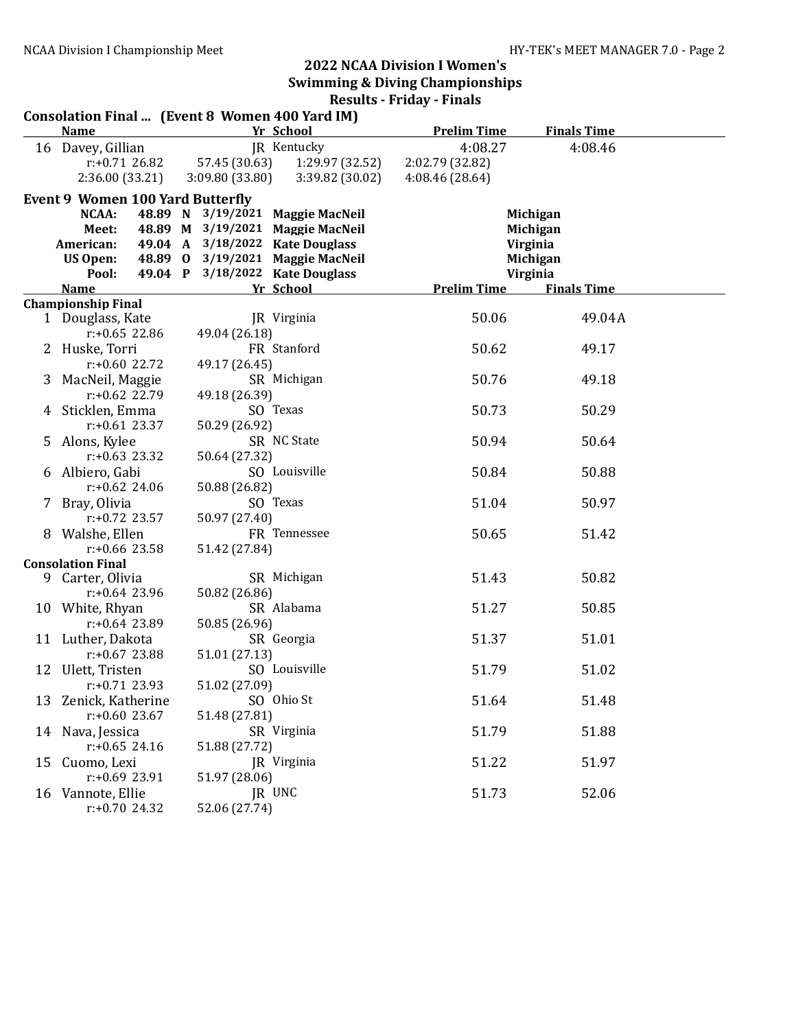|    | Consolation Final  (Event 8 Women 400 Yard IM) |                                  |                    |                    |                    |  |
|----|------------------------------------------------|----------------------------------|--------------------|--------------------|--------------------|--|
|    | <b>Name</b>                                    |                                  | Yr School          | <b>Prelim Time</b> | <b>Finals Time</b> |  |
|    | 16 Davey, Gillian                              |                                  | JR Kentucky        | 4:08.27            | 4:08.46            |  |
|    | $r: +0.71$ 26.82                               | 57.45 (30.63)                    | 1:29.97 (32.52)    | 2:02.79 (32.82)    |                    |  |
|    | 2:36.00 (33.21)                                | 3:09.80(33.80)                   | 3:39.82 (30.02)    | 4:08.46 (28.64)    |                    |  |
|    | <b>Event 9 Women 100 Yard Butterfly</b>        |                                  |                    |                    |                    |  |
|    | NCAA:                                          | 48.89 N 3/19/2021 Maggie MacNeil |                    |                    | Michigan           |  |
|    | Meet:                                          | 48.89 M 3/19/2021 Maggie MacNeil |                    |                    | Michigan           |  |
|    | American:                                      | 49.04 A 3/18/2022 Kate Douglass  |                    |                    | Virginia           |  |
|    | US Open:                                       | 48.89 0 3/19/2021 Maggie MacNeil |                    |                    | Michigan           |  |
|    | Pool:                                          | 49.04 P 3/18/2022 Kate Douglass  |                    |                    | Virginia           |  |
|    | <b>Name</b>                                    |                                  | Yr School          | <b>Prelim Time</b> | <b>Finals Time</b> |  |
|    | <b>Championship Final</b>                      |                                  |                    |                    |                    |  |
|    | 1 Douglass, Kate                               |                                  | <b>IR</b> Virginia | 50.06              | 49.04A             |  |
|    | $r: +0.65$ 22.86                               | 49.04 (26.18)                    |                    |                    |                    |  |
|    | 2 Huske, Torri                                 |                                  | FR Stanford        | 50.62              | 49.17              |  |
|    | $r: +0.60$ 22.72                               | 49.17 (26.45)                    |                    |                    |                    |  |
|    | 3 MacNeil, Maggie                              |                                  | SR Michigan        | 50.76              | 49.18              |  |
|    | $r: +0.62$ 22.79                               | 49.18 (26.39)                    |                    |                    |                    |  |
|    | 4 Sticklen, Emma                               |                                  | SO Texas           | 50.73              | 50.29              |  |
|    | $r: +0.61$ 23.37                               | 50.29 (26.92)                    |                    |                    |                    |  |
|    | 5 Alons, Kylee                                 |                                  | SR NC State        | 50.94              | 50.64              |  |
|    | $r: +0.63$ 23.32                               | 50.64 (27.32)                    |                    |                    |                    |  |
|    | 6 Albiero, Gabi                                |                                  | SO Louisville      | 50.84              | 50.88              |  |
|    | $r: +0.62$ 24.06                               | 50.88 (26.82)                    |                    |                    |                    |  |
|    | 7 Bray, Olivia                                 |                                  | SO Texas           | 51.04              | 50.97              |  |
|    | $r: +0.72$ 23.57                               | 50.97 (27.40)                    |                    |                    |                    |  |
|    | 8 Walshe, Ellen                                |                                  | FR Tennessee       | 50.65              | 51.42              |  |
|    | $r: +0.66$ 23.58                               | 51.42 (27.84)                    |                    |                    |                    |  |
|    | <b>Consolation Final</b>                       |                                  |                    |                    |                    |  |
| 9  | Carter, Olivia                                 |                                  | SR Michigan        | 51.43              | 50.82              |  |
|    | $r: +0.64$ 23.96                               | 50.82 (26.86)                    |                    |                    |                    |  |
|    | 10 White, Rhyan                                |                                  | SR Alabama         | 51.27              | 50.85              |  |
|    | $r: +0.64$ 23.89                               | 50.85 (26.96)                    |                    |                    |                    |  |
|    | 11 Luther, Dakota                              |                                  | SR Georgia         | 51.37              | 51.01              |  |
|    | $r: +0.67$ 23.88                               | 51.01 (27.13)                    |                    |                    |                    |  |
|    | 12 Ulett, Tristen                              |                                  | SO Louisville      | 51.79              | 51.02              |  |
|    | $r: +0.71$ 23.93                               | 51.02 (27.09)                    |                    |                    |                    |  |
|    | 13 Zenick, Katherine                           |                                  | SO Ohio St         | 51.64              | 51.48              |  |
|    | $r: +0.60$ 23.67                               | 51.48 (27.81)                    |                    |                    |                    |  |
|    | 14 Nava, Jessica                               |                                  | SR Virginia        | 51.79              | 51.88              |  |
|    | $r: +0.65$ 24.16                               | 51.88 (27.72)                    |                    |                    |                    |  |
| 15 | Cuomo, Lexi                                    |                                  | JR Virginia        | 51.22              | 51.97              |  |
|    | $r: +0.69$ 23.91                               | 51.97 (28.06)                    |                    |                    |                    |  |
|    | 16 Vannote, Ellie<br>$r: +0.70$ 24.32          | 52.06 (27.74)                    | JR UNC             | 51.73              | 52.06              |  |
|    |                                                |                                  |                    |                    |                    |  |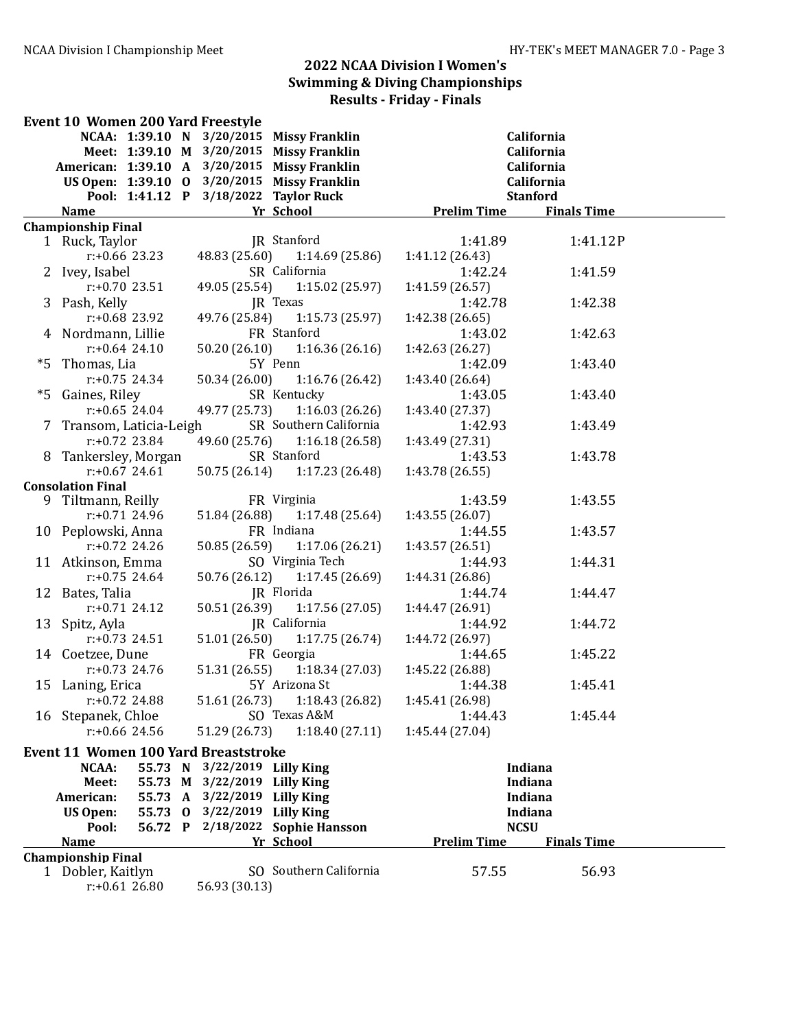|    | Event 10 Women 200 Yard Freestyle            |                              |                                  |                    |                    |  |
|----|----------------------------------------------|------------------------------|----------------------------------|--------------------|--------------------|--|
|    | NCAA: 1:39.10 N 3/20/2015 Missy Franklin     |                              |                                  |                    | California         |  |
|    | Meet: 1:39.10 M 3/20/2015 Missy Franklin     |                              |                                  |                    | California         |  |
|    | American: 1:39.10 A 3/20/2015 Missy Franklin |                              |                                  |                    | California         |  |
|    | US Open: 1:39.10 0 3/20/2015 Missy Franklin  |                              |                                  |                    | California         |  |
|    | Pool: 1:41.12 P 3/18/2022 Taylor Ruck        |                              |                                  |                    | <b>Stanford</b>    |  |
|    | <b>Name</b>                                  |                              | Yr School                        | <b>Prelim Time</b> | <b>Finals Time</b> |  |
|    | <b>Championship Final</b>                    |                              |                                  |                    |                    |  |
|    | 1 Ruck, Taylor                               |                              | JR Stanford                      | 1:41.89            | 1:41.12P           |  |
|    | $r: +0.66$ 23.23                             |                              | 48.83 (25.60) 1:14.69 (25.86)    | 1:41.12(26.43)     |                    |  |
|    | 2 Ivey, Isabel                               |                              | SR California                    | 1:42.24            | 1:41.59            |  |
|    | $r: +0.70$ 23.51                             |                              | 49.05 (25.54) 1:15.02 (25.97)    | 1:41.59(26.57)     |                    |  |
|    | 3 Pash, Kelly                                |                              | JR Texas                         | 1:42.78            | 1:42.38            |  |
|    | $r: +0.68$ 23.92                             |                              | 49.76 (25.84) 1:15.73 (25.97)    | 1:42.38(26.65)     |                    |  |
|    | 4 Nordmann, Lillie                           |                              | FR Stanford                      | 1:43.02            | 1:42.63            |  |
|    | $r$ :+0.64 24.10                             |                              | $50.20(26.10)$ $1:16.36(26.16)$  | 1:42.63 (26.27)    |                    |  |
| *5 | Thomas, Lia                                  |                              | 5Y Penn                          | 1:42.09            | 1:43.40            |  |
|    | $r: +0.75$ 24.34                             |                              | 50.34 (26.00) 1:16.76 (26.42)    | 1:43.40 (26.64)    |                    |  |
| *5 | Gaines, Riley                                |                              | SR Kentucky                      | 1:43.05            | 1:43.40            |  |
|    | $r: +0.65$ 24.04                             |                              | 49.77 (25.73) 1:16.03 (26.26)    | 1:43.40 (27.37)    |                    |  |
|    | 7 Transom, Laticia-Leigh                     |                              | SR Southern California           | 1:42.93            | 1:43.49            |  |
|    | $r: +0.72$ 23.84                             |                              | 49.60 (25.76) 1:16.18 (26.58)    | 1:43.49 (27.31)    |                    |  |
|    | 8 Tankersley, Morgan                         |                              | SR Stanford                      | 1:43.53            | 1:43.78            |  |
|    | $r: +0.67$ 24.61                             |                              | 50.75 (26.14) 1:17.23 (26.48)    | 1:43.78 (26.55)    |                    |  |
|    | <b>Consolation Final</b>                     |                              |                                  |                    |                    |  |
|    | 9 Tiltmann, Reilly                           |                              | FR Virginia                      | 1:43.59            | 1:43.55            |  |
|    | $r: +0.71$ 24.96                             | 51.84 (26.88)                | 1:17.48(25.64)                   | 1:43.55 (26.07)    |                    |  |
|    | 10 Peplowski, Anna                           |                              | FR Indiana                       | 1:44.55            | 1:43.57            |  |
|    | $r: +0.72$ 24.26                             | 50.85 (26.59)                | 1:17.06(26.21)                   | 1:43.57 (26.51)    |                    |  |
|    | 11 Atkinson, Emma                            |                              | SO Virginia Tech                 | 1:44.93            | 1:44.31            |  |
|    | $r: +0.75$ 24.64                             | 50.76 (26.12)                | 1:17.45(26.69)                   | 1:44.31 (26.86)    |                    |  |
|    | 12 Bates, Talia                              |                              | JR Florida                       | 1:44.74            | 1:44.47            |  |
|    | $r: +0.71$ 24.12                             | 50.51 (26.39)                | 1:17.56(27.05)                   | 1:44.47 (26.91)    |                    |  |
|    | 13 Spitz, Ayla                               |                              | JR California                    | 1:44.92            | 1:44.72            |  |
|    | $r: +0.73$ 24.51                             | 51.01 (26.50)                | 1:17.75(26.74)                   | 1:44.72 (26.97)    |                    |  |
|    | 14 Coetzee, Dune                             |                              | FR Georgia                       | 1:44.65            | 1:45.22            |  |
|    | $r: +0.73$ 24.76                             | 51.31 (26.55)                | 1:18.34(27.03)                   | 1:45.22 (26.88)    |                    |  |
|    | 15 Laning, Erica                             |                              | 5Y Arizona St                    | 1:44.38            | 1:45.41            |  |
|    | r:+0.72 24.88                                |                              | 51.61 (26.73) 1:18.43 (26.82)    | 1:45.41 (26.98)    |                    |  |
|    | 16 Stepanek, Chloe                           |                              | SO Texas A&M                     | 1:44.43            | 1:45.44            |  |
|    | $r: +0.66$ 24.56                             | 51.29 (26.73)                | 1:18.40(27.11)                   | 1:45.44 (27.04)    |                    |  |
|    | <b>Event 11 Women 100 Yard Breaststroke</b>  |                              |                                  |                    |                    |  |
|    | NCAA:<br>55.73 N                             | 3/22/2019 Lilly King         |                                  |                    | Indiana            |  |
|    | Meet:                                        | 55.73 M 3/22/2019 Lilly King |                                  |                    | Indiana            |  |
|    | 55.73 A<br>American:                         | 3/22/2019 Lilly King         |                                  |                    | <b>Indiana</b>     |  |
|    | <b>US Open:</b><br>55.73 0                   | 3/22/2019 Lilly King         |                                  |                    | <b>Indiana</b>     |  |
|    | Pool:                                        |                              | 56.72 P 2/18/2022 Sophie Hansson | <b>NCSU</b>        |                    |  |
|    | <b>Name</b>                                  |                              | Yr School                        | <b>Prelim Time</b> | <b>Finals Time</b> |  |
|    | <b>Championship Final</b>                    |                              |                                  |                    |                    |  |
|    | 1 Dobler, Kaitlyn                            |                              | SO Southern California           | 57.55              | 56.93              |  |
|    | $r: +0.6126.80$                              | 56.93 (30.13)                |                                  |                    |                    |  |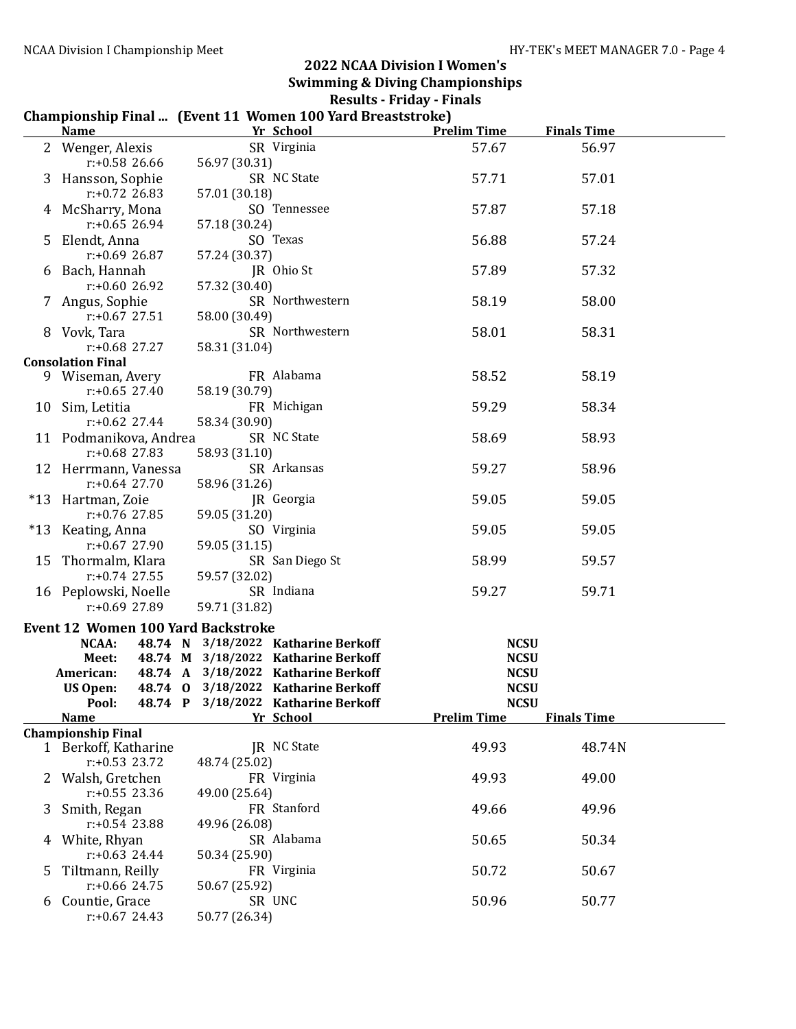#### Championship Final ... (Event 11 Women 100 Yard Breaststroke)

|    | $510110111p + 111011111 + 121010 + 12101$<br><b>Name</b> | Yr School                                                                  | <b>Prelim Time</b>         | <b>Finals Time</b> |  |
|----|----------------------------------------------------------|----------------------------------------------------------------------------|----------------------------|--------------------|--|
|    | 2 Wenger, Alexis                                         | SR Virginia                                                                | 57.67                      | 56.97              |  |
|    | $r: +0.58$ 26.66                                         | 56.97 (30.31)                                                              |                            |                    |  |
|    | 3 Hansson, Sophie                                        | SR NC State                                                                | 57.71                      | 57.01              |  |
|    | $r: +0.72$ 26.83                                         | 57.01 (30.18)                                                              |                            |                    |  |
|    | 4 McSharry, Mona                                         | SO Tennessee                                                               | 57.87                      | 57.18              |  |
|    | $r: +0.65$ 26.94                                         | 57.18 (30.24)                                                              |                            |                    |  |
| 5. | Elendt, Anna                                             | SO Texas                                                                   | 56.88                      | 57.24              |  |
|    | $r: +0.69$ 26.87                                         | 57.24 (30.37)                                                              |                            |                    |  |
| 6  | Bach, Hannah                                             | JR Ohio St                                                                 | 57.89                      | 57.32              |  |
|    | $r: +0.6026.92$                                          | 57.32 (30.40)<br>SR Northwestern                                           | 58.19                      |                    |  |
| 7  | Angus, Sophie<br>$r: +0.67$ 27.51                        | 58.00 (30.49)                                                              |                            | 58.00              |  |
|    | 8 Vovk, Tara                                             | SR Northwestern                                                            | 58.01                      | 58.31              |  |
|    | $r: +0.68$ 27.27                                         | 58.31 (31.04)                                                              |                            |                    |  |
|    | <b>Consolation Final</b>                                 |                                                                            |                            |                    |  |
|    | 9 Wiseman, Avery                                         | FR Alabama                                                                 | 58.52                      | 58.19              |  |
|    | $r: +0.65$ 27.40                                         | 58.19 (30.79)                                                              |                            |                    |  |
|    | 10 Sim, Letitia                                          | FR Michigan                                                                | 59.29                      | 58.34              |  |
|    | $r: +0.62$ 27.44                                         | 58.34 (30.90)                                                              |                            |                    |  |
|    | 11 Podmanikova, Andrea                                   | SR NC State                                                                | 58.69                      | 58.93              |  |
|    | $r: +0.68$ 27.83<br>12 Herrmann, Vanessa                 | 58.93 (31.10)<br>SR Arkansas                                               | 59.27                      | 58.96              |  |
|    | $r: +0.64$ 27.70                                         | 58.96 (31.26)                                                              |                            |                    |  |
|    | *13 Hartman, Zoie                                        | JR Georgia                                                                 | 59.05                      | 59.05              |  |
|    | $r: +0.76$ 27.85                                         | 59.05 (31.20)                                                              |                            |                    |  |
|    | *13 Keating, Anna                                        | SO Virginia                                                                | 59.05                      | 59.05              |  |
|    | $r: +0.67$ 27.90                                         | 59.05 (31.15)                                                              |                            |                    |  |
|    | 15 Thormalm, Klara                                       | SR San Diego St                                                            | 58.99                      | 59.57              |  |
|    | $r: +0.74$ 27.55                                         | 59.57 (32.02)                                                              |                            |                    |  |
|    | 16 Peplowski, Noelle                                     | SR Indiana                                                                 | 59.27                      | 59.71              |  |
|    | $r: +0.69$ 27.89                                         | 59.71 (31.82)                                                              |                            |                    |  |
|    | <b>Event 12 Women 100 Yard Backstroke</b>                |                                                                            |                            |                    |  |
|    | <b>NCAA:</b>                                             | 48.74 N 3/18/2022 Katharine Berkoff                                        | <b>NCSU</b>                |                    |  |
|    | Meet:                                                    | 48.74 M 3/18/2022 Katharine Berkoff<br>48.74 A 3/18/2022 Katharine Berkoff | <b>NCSU</b><br><b>NCSU</b> |                    |  |
|    | American:<br><b>US Open:</b>                             | 48.74 0 3/18/2022 Katharine Berkoff                                        | <b>NCSU</b>                |                    |  |
|    |                                                          | Pool: 48.74 P 3/18/2022 Katharine Berkoff                                  | <b>NCSU</b>                |                    |  |
|    | <u>Name</u>                                              | Yr School                                                                  | <b>Prelim Time</b>         | <b>Finals Time</b> |  |
|    | <b>Championship Final</b>                                |                                                                            |                            |                    |  |
|    | 1 Berkoff, Katharine                                     | JR NC State                                                                | 49.93                      | 48.74N             |  |
|    | $r: +0.53$ 23.72                                         | 48.74 (25.02)                                                              |                            |                    |  |
|    | Walsh, Gretchen                                          | FR Virginia                                                                | 49.93                      | 49.00              |  |
|    | $r: +0.55$ 23.36                                         | 49.00 (25.64)                                                              |                            |                    |  |
| 3  | Smith, Regan                                             | FR Stanford                                                                | 49.66                      | 49.96              |  |
| 4  | $r: +0.54$ 23.88<br>White, Rhyan                         | 49.96 (26.08)<br>SR Alabama                                                | 50.65                      | 50.34              |  |
|    | $r: +0.63$ 24.44                                         | 50.34 (25.90)                                                              |                            |                    |  |
| 5  | Tiltmann, Reilly                                         | FR Virginia                                                                | 50.72                      | 50.67              |  |
|    | $r: +0.66$ 24.75                                         | 50.67 (25.92)                                                              |                            |                    |  |
| 6  | Countie, Grace                                           | SR UNC                                                                     | 50.96                      | 50.77              |  |
|    | $r: +0.67$ 24.43                                         | 50.77 (26.34)                                                              |                            |                    |  |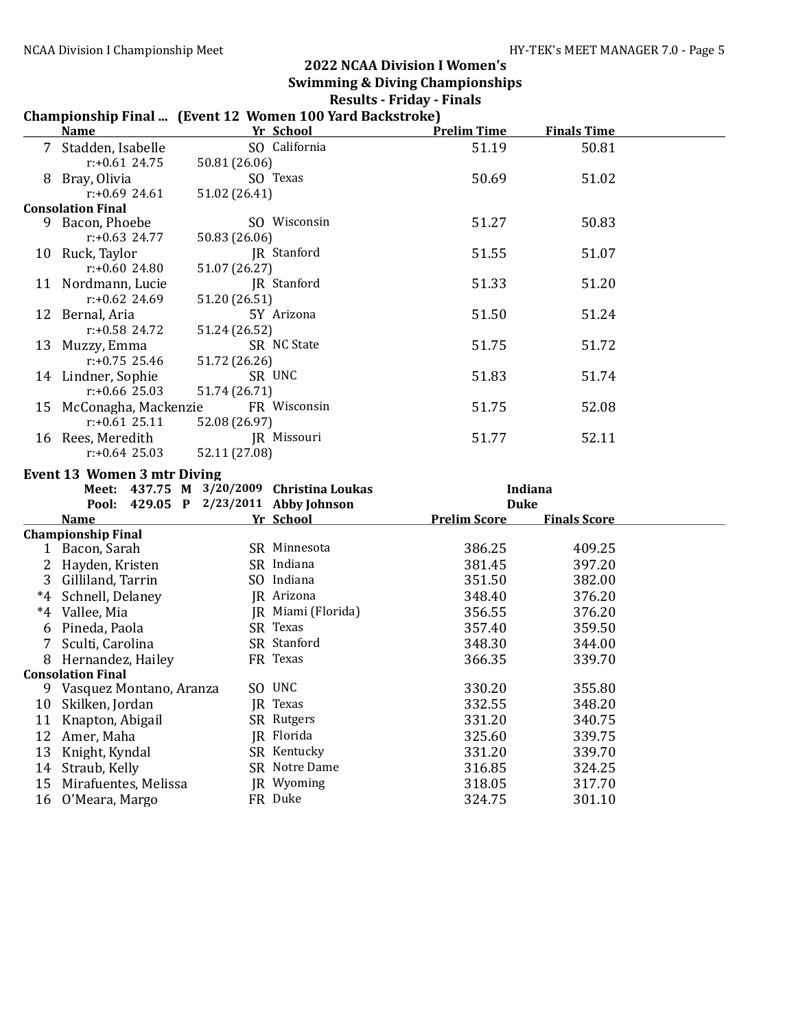# Championship Final ... (Event 12 Women 100 Yard Backstroke)

|    | <b>Name</b>                           |               | Yr School                                 | <b>Prelim Time</b>  | <b>Finals Time</b>  |  |
|----|---------------------------------------|---------------|-------------------------------------------|---------------------|---------------------|--|
|    | 7 Stadden, Isabelle                   |               | SO California                             | 51.19               | 50.81               |  |
|    | $r: +0.61$ 24.75                      | 50.81 (26.06) |                                           |                     |                     |  |
|    | 8 Bray, Olivia                        |               | SO Texas                                  | 50.69               | 51.02               |  |
|    | $r: +0.69$ 24.61                      | 51.02 (26.41) |                                           |                     |                     |  |
|    | <b>Consolation Final</b>              |               |                                           |                     |                     |  |
|    | 9 Bacon, Phoebe                       |               | SO Wisconsin                              | 51.27               | 50.83               |  |
|    | $r: +0.63$ 24.77                      | 50.83 (26.06) |                                           |                     |                     |  |
|    | 10 Ruck, Taylor                       |               | JR Stanford                               | 51.55               | 51.07               |  |
|    | r:+0.60 24.80                         | 51.07 (26.27) |                                           |                     |                     |  |
|    | 11 Nordmann, Lucie                    |               | JR Stanford                               | 51.33               | 51.20               |  |
|    | $r: +0.62$ 24.69                      | 51.20 (26.51) |                                           |                     |                     |  |
|    | 12 Bernal, Aria                       |               | 5Y Arizona                                | 51.50               | 51.24               |  |
|    | r:+0.58 24.72                         | 51.24 (26.52) | SR NC State                               | 51.75               |                     |  |
|    | 13 Muzzy, Emma<br>$r: +0.75$ 25.46    | 51.72 (26.26) |                                           |                     | 51.72               |  |
|    | 14 Lindner, Sophie                    |               | SR UNC                                    | 51.83               | 51.74               |  |
|    | $r: +0.66$ 25.03                      | 51.74 (26.71) |                                           |                     |                     |  |
|    | 15 McConagha, Mackenzie               |               | FR Wisconsin                              | 51.75               | 52.08               |  |
|    | $r: +0.61$ 25.11                      | 52.08 (26.97) |                                           |                     |                     |  |
|    | 16 Rees, Meredith                     |               | JR Missouri                               | 51.77               | 52.11               |  |
|    | $r: +0.64$ 25.03                      | 52.11 (27.08) |                                           |                     |                     |  |
|    | <b>Event 13 Women 3 mtr Diving</b>    |               |                                           |                     |                     |  |
|    |                                       |               | Meet: 437.75 M 3/20/2009 Christina Loukas |                     | Indiana             |  |
|    | Pool: 429.05 P 2/23/2011 Abby Johnson |               |                                           | <b>Duke</b>         |                     |  |
|    | <b>Name</b>                           |               | Yr School                                 | <b>Prelim Score</b> | <b>Finals Score</b> |  |
|    | <b>Championship Final</b>             |               |                                           |                     |                     |  |
|    | 1 Bacon, Sarah                        |               | SR Minnesota                              | 386.25              | 409.25              |  |
|    | 2 Hayden, Kristen                     |               | SR Indiana                                | 381.45              | 397.20              |  |
|    | 3 Gilliland, Tarrin                   |               | SO Indiana                                | 351.50              | 382.00              |  |
|    | *4 Schnell, Delaney                   |               | JR Arizona                                | 348.40              | 376.20              |  |
|    | *4 Vallee, Mia                        |               | JR Miami (Florida)                        | 356.55              | 376.20              |  |
|    | 6 Pineda, Paola                       |               | SR Texas                                  | 357.40              | 359.50              |  |
|    | 7 Sculti, Carolina                    |               | SR Stanford                               | 348.30              | 344.00              |  |
|    | 8 Hernandez, Hailey                   |               | FR Texas                                  | 366.35              | 339.70              |  |
|    | <b>Consolation Final</b>              |               |                                           |                     |                     |  |
|    | 9 Vasquez Montano, Aranza             |               | SO UNC                                    | 330.20              | 355.80              |  |
|    | 10 Skilken, Jordan                    |               | JR Texas                                  | 332.55              | 348.20              |  |
|    | 11 Knapton, Abigail                   |               | SR Rutgers                                | 331.20              | 340.75              |  |
| 12 | Amer, Maha                            |               | JR Florida                                | 325.60              | 339.75              |  |
| 13 | Knight, Kyndal                        |               | SR Kentucky                               | 331.20              | 339.70              |  |
| 14 | Straub, Kelly                         |               | SR Notre Dame                             | 316.85              | 324.25              |  |
| 15 | Mirafuentes, Melissa                  |               | JR Wyoming                                | 318.05              | 317.70              |  |
| 16 | O'Meara, Margo                        |               | FR Duke                                   | 324.75              | 301.10              |  |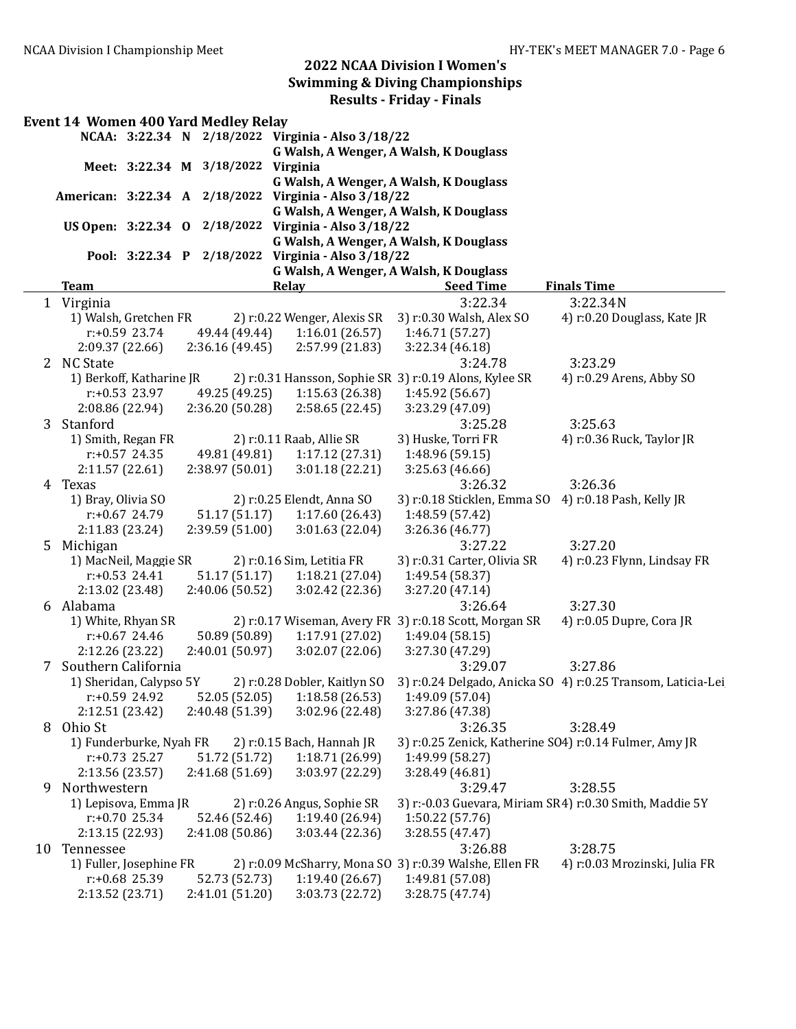|                | <b>Event 14 Women 400 Yard Medley Relay</b>           |                          |  |                                    |                                                      |                                                         |                                                                        |  |  |  |
|----------------|-------------------------------------------------------|--------------------------|--|------------------------------------|------------------------------------------------------|---------------------------------------------------------|------------------------------------------------------------------------|--|--|--|
|                |                                                       |                          |  |                                    | NCAA: 3:22.34 N 2/18/2022 Virginia - Also 3/18/22    |                                                         |                                                                        |  |  |  |
|                |                                                       |                          |  |                                    | G Walsh, A Wenger, A Walsh, K Douglass               |                                                         |                                                                        |  |  |  |
|                |                                                       |                          |  | Meet: 3:22.34 M 3/18/2022 Virginia |                                                      |                                                         |                                                                        |  |  |  |
|                |                                                       |                          |  |                                    | G Walsh, A Wenger, A Walsh, K Douglass               |                                                         |                                                                        |  |  |  |
|                | American: 3:22.34 A 2/18/2022 Virginia - Also 3/18/22 |                          |  |                                    |                                                      |                                                         |                                                                        |  |  |  |
|                |                                                       |                          |  |                                    | G Walsh, A Wenger, A Walsh, K Douglass               |                                                         |                                                                        |  |  |  |
|                |                                                       |                          |  |                                    | US Open: 3:22.34 0 2/18/2022 Virginia - Also 3/18/22 |                                                         |                                                                        |  |  |  |
|                |                                                       |                          |  |                                    | G Walsh, A Wenger, A Walsh, K Douglass               |                                                         |                                                                        |  |  |  |
|                | Pool: 3:22.34 P 2/18/2022<br>Virginia - Also 3/18/22  |                          |  |                                    |                                                      |                                                         |                                                                        |  |  |  |
|                |                                                       |                          |  |                                    | G Walsh, A Wenger, A Walsh, K Douglass               |                                                         |                                                                        |  |  |  |
|                | <b>Team</b>                                           |                          |  |                                    | <b>Relay</b>                                         | <b>Seed Time</b>                                        | <b>Finals Time</b>                                                     |  |  |  |
|                | 1 Virginia                                            |                          |  |                                    |                                                      | 3:22.34                                                 | 3:22.34N                                                               |  |  |  |
|                |                                                       | 1) Walsh, Gretchen FR    |  |                                    | 2) r:0.22 Wenger, Alexis SR                          | 3) r:0.30 Walsh, Alex SO                                | 4) r:0.20 Douglass, Kate JR                                            |  |  |  |
|                |                                                       | $r: +0.59$ 23.74         |  | 49.44 (49.44)                      | 1:16.01(26.57)                                       | 1:46.71(57.27)                                          |                                                                        |  |  |  |
|                |                                                       | 2:09.37(22.66)           |  | 2:36.16(49.45)                     | 2:57.99(21.83)                                       | 3:22.34 (46.18)                                         |                                                                        |  |  |  |
|                | 2 NC State                                            |                          |  |                                    |                                                      | 3:24.78                                                 | 3:23.29                                                                |  |  |  |
|                |                                                       | 1) Berkoff, Katharine JR |  |                                    |                                                      | 2) r:0.31 Hansson, Sophie SR 3) r:0.19 Alons, Kylee SR  | 4) r:0.29 Arens, Abby SO                                               |  |  |  |
|                |                                                       | $r: +0.53$ 23.97         |  | 49.25 (49.25)                      | 1:15.63 (26.38)                                      | 1:45.92 (56.67)                                         |                                                                        |  |  |  |
|                | 2:08.86 (22.94)                                       |                          |  | 2:36.20(50.28)                     | 2:58.65(22.45)                                       | 3:23.29 (47.09)                                         |                                                                        |  |  |  |
| 3 <sup>1</sup> | Stanford                                              |                          |  |                                    |                                                      | 3:25.28                                                 | 3:25.63                                                                |  |  |  |
|                |                                                       | 1) Smith, Regan FR       |  |                                    | 2) r:0.11 Raab, Allie SR                             | 3) Huske, Torri FR                                      | 4) r:0.36 Ruck, Taylor JR                                              |  |  |  |
|                |                                                       | $r: +0.57$ 24.35         |  | 49.81 (49.81)                      | 1:17.12(27.31)                                       | 1:48.96(59.15)                                          |                                                                        |  |  |  |
|                | 2:11.57(22.61)                                        |                          |  | 2:38.97(50.01)                     | 3:01.18(22.21)                                       | 3:25.63 (46.66)                                         |                                                                        |  |  |  |
|                | 4 Texas                                               |                          |  |                                    |                                                      | 3:26.32                                                 | 3:26.36                                                                |  |  |  |
|                | 1) Bray, Olivia SO                                    |                          |  |                                    | 2) r:0.25 Elendt, Anna SO                            | 3) r:0.18 Sticklen, Emma SO 4) r:0.18 Pash, Kelly JR    |                                                                        |  |  |  |
|                |                                                       | $r: +0.67$ 24.79         |  | 51.17 (51.17)                      | 1:17.60(26.43)                                       | 1:48.59 (57.42)                                         |                                                                        |  |  |  |
|                | 2:11.83 (23.24)                                       |                          |  | 2:39.59(51.00)                     | 3:01.63(22.04)                                       | 3:26.36 (46.77)                                         |                                                                        |  |  |  |
| 5              | Michigan                                              |                          |  |                                    |                                                      | 3:27.22                                                 | 3:27.20                                                                |  |  |  |
|                |                                                       | 1) MacNeil, Maggie SR    |  |                                    | 2) r:0.16 Sim, Letitia FR                            | 3) r:0.31 Carter, Olivia SR                             | 4) r:0.23 Flynn, Lindsay FR                                            |  |  |  |
|                |                                                       | $r: +0.53$ 24.41         |  | 51.17 (51.17)                      | 1:18.21(27.04)                                       | 1:49.54 (58.37)                                         |                                                                        |  |  |  |
|                | 2:13.02(23.48)                                        |                          |  | 2:40.06(50.52)                     | 3:02.42(22.36)                                       | 3:27.20 (47.14)                                         |                                                                        |  |  |  |
| 6              | Alabama                                               |                          |  |                                    |                                                      | 3:26.64                                                 | 3:27.30                                                                |  |  |  |
|                |                                                       | 1) White, Rhyan SR       |  |                                    |                                                      | 2) r:0.17 Wiseman, Avery FR 3) r:0.18 Scott, Morgan SR  | 4) r:0.05 Dupre, Cora JR                                               |  |  |  |
|                |                                                       | $r: +0.67$ 24.46         |  | 50.89 (50.89)                      | 1:17.91(27.02)                                       | 1:49.04 (58.15)                                         |                                                                        |  |  |  |
|                | 2:12.26 (23.22)                                       |                          |  | 2:40.01(50.97)                     | 3:02.07(22.06)                                       | 3:27.30 (47.29)                                         |                                                                        |  |  |  |
| 7              | Southern California                                   |                          |  |                                    |                                                      | 3:29.07                                                 | 3:27.86<br>3) r:0.24 Delgado, Anicka SO 4) r:0.25 Transom, Laticia-Lei |  |  |  |
|                |                                                       | 1) Sheridan, Calypso 5Y  |  |                                    | 2) r:0.28 Dobler, Kaitlyn SO                         | 1:49.09 (57.04)                                         |                                                                        |  |  |  |
|                | 2:12.51 (23.42)                                       | $r+0.59$ 24.92           |  | 2:40.48 (51.39)                    | 52.05 (52.05) 1:18.58 (26.53)<br>3:02.96 (22.48)     | 3:27.86 (47.38)                                         |                                                                        |  |  |  |
|                | Ohio St                                               |                          |  |                                    |                                                      | 3:26.35                                                 | 3:28.49                                                                |  |  |  |
| 8              |                                                       | 1) Funderburke, Nyah FR  |  |                                    | 2) r:0.15 Bach, Hannah JR                            | 3) r:0.25 Zenick, Katherine SO4) r:0.14 Fulmer, Amy JR  |                                                                        |  |  |  |
|                |                                                       | $r: +0.73$ 25.27         |  | 51.72 (51.72)                      | 1:18.71 (26.99)                                      | 1:49.99 (58.27)                                         |                                                                        |  |  |  |
|                | 2:13.56 (23.57)                                       |                          |  | 2:41.68 (51.69)                    | 3:03.97 (22.29)                                      | 3:28.49 (46.81)                                         |                                                                        |  |  |  |
| 9              | Northwestern                                          |                          |  |                                    |                                                      | 3:29.47                                                 | 3:28.55                                                                |  |  |  |
|                |                                                       | 1) Lepisova, Emma JR     |  |                                    | 2) r:0.26 Angus, Sophie SR                           | 3) r:-0.03 Guevara, Miriam SR4) r:0.30 Smith, Maddie 5Y |                                                                        |  |  |  |
|                |                                                       | $r: +0.70$ 25.34         |  | 52.46 (52.46)                      | 1:19.40 (26.94)                                      | 1:50.22 (57.76)                                         |                                                                        |  |  |  |
|                | 2:13.15 (22.93)                                       |                          |  | 2:41.08(50.86)                     | 3:03.44 (22.36)                                      | 3:28.55 (47.47)                                         |                                                                        |  |  |  |
| 10             | Tennessee                                             |                          |  |                                    |                                                      | 3:26.88                                                 | 3:28.75                                                                |  |  |  |
|                |                                                       | 1) Fuller, Josephine FR  |  |                                    |                                                      | 2) r:0.09 McSharry, Mona SO 3) r:0.39 Walshe, Ellen FR  | 4) r:0.03 Mrozinski, Julia FR                                          |  |  |  |
|                |                                                       | $r: +0.68$ 25.39         |  | 52.73 (52.73)                      | 1:19.40(26.67)                                       | 1:49.81 (57.08)                                         |                                                                        |  |  |  |
|                | 2:13.52 (23.71)                                       |                          |  | 2:41.01 (51.20)                    | 3:03.73 (22.72)                                      | 3:28.75 (47.74)                                         |                                                                        |  |  |  |
|                |                                                       |                          |  |                                    |                                                      |                                                         |                                                                        |  |  |  |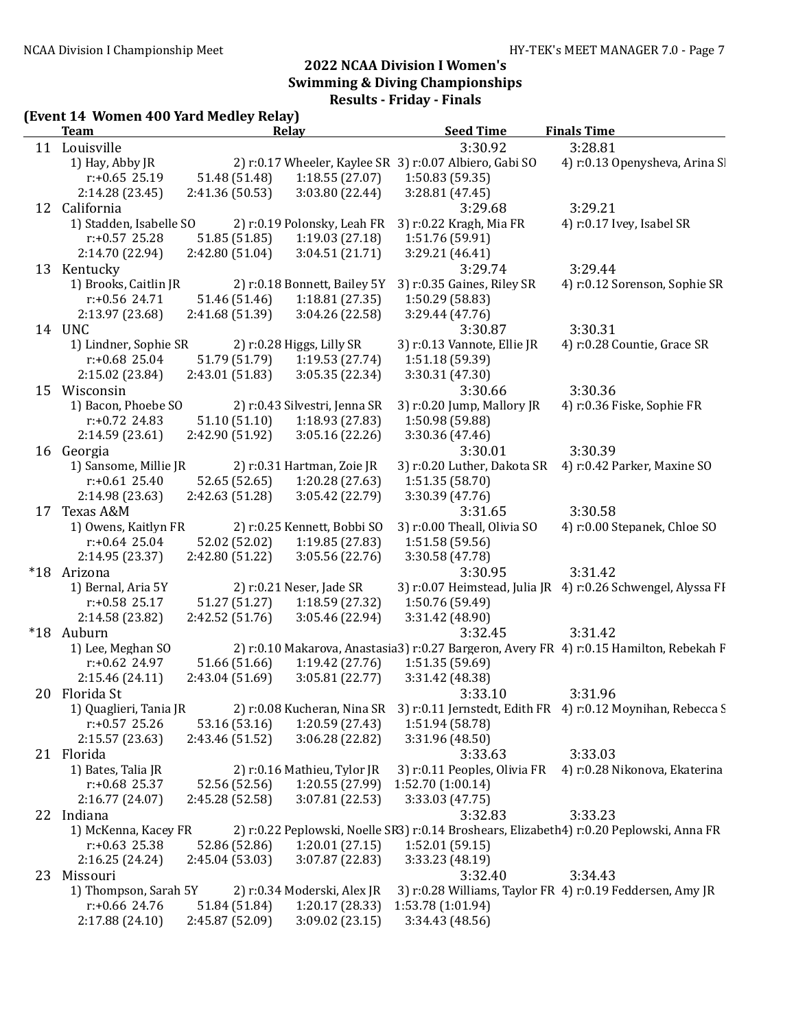# (Event 14 Women 400 Yard Medley Relay)

|       | <b>Team</b>                                |                                  | Relay                              | <b>Seed Time</b>                                        | <b>Finals Time</b>                                                                       |
|-------|--------------------------------------------|----------------------------------|------------------------------------|---------------------------------------------------------|------------------------------------------------------------------------------------------|
|       | 11 Louisville                              |                                  |                                    | 3:30.92                                                 | 3:28.81                                                                                  |
|       | 1) Hay, Abby JR                            |                                  |                                    | 2) r:0.17 Wheeler, Kaylee SR 3) r:0.07 Albiero, Gabi SO | 4) r:0.13 Openysheva, Arina SI                                                           |
|       | $r: +0.65$ 25.19                           | 51.48 (51.48)                    | 1:18.55(27.07)                     | 1:50.83(59.35)                                          |                                                                                          |
|       | 2:14.28 (23.45)                            | 2:41.36 (50.53)                  | 3:03.80 (22.44)                    | 3:28.81 (47.45)                                         |                                                                                          |
|       | 12 California                              |                                  |                                    | 3:29.68                                                 | 3:29.21                                                                                  |
|       | 1) Stadden, Isabelle SO                    |                                  | 2) r:0.19 Polonsky, Leah FR        | 3) r:0.22 Kragh, Mia FR                                 | 4) r:0.17 Ivey, Isabel SR                                                                |
|       | $r: +0.57$ 25.28                           | 51.85 (51.85)                    | 1:19.03(27.18)                     | 1:51.76 (59.91)                                         |                                                                                          |
|       | 2:14.70 (22.94)                            | 2:42.80(51.04)                   | 3:04.51 (21.71)                    | 3:29.21 (46.41)                                         |                                                                                          |
|       | 13 Kentucky                                |                                  |                                    | 3:29.74                                                 | 3:29.44                                                                                  |
|       | 1) Brooks, Caitlin JR                      |                                  | 2) r:0.18 Bonnett, Bailey 5Y       | 3) r:0.35 Gaines, Riley SR                              | 4) r:0.12 Sorenson, Sophie SR                                                            |
|       | $r: +0.56$ 24.71                           | 51.46 (51.46)                    | 1:18.81(27.35)                     | 1:50.29 (58.83)                                         |                                                                                          |
|       | 2:13.97 (23.68)                            | 2:41.68 (51.39)                  | 3:04.26 (22.58)                    | 3:29.44 (47.76)                                         |                                                                                          |
|       | 14 UNC                                     |                                  |                                    | 3:30.87                                                 | 3:30.31                                                                                  |
|       | 1) Lindner, Sophie SR                      |                                  | 2) r:0.28 Higgs, Lilly SR          | 3) r:0.13 Vannote, Ellie JR                             | 4) r:0.28 Countie, Grace SR                                                              |
|       | $r: +0.68$ 25.04                           | 51.79 (51.79)                    | 1:19.53(27.74)                     | 1:51.18 (59.39)                                         |                                                                                          |
|       | 2:15.02 (23.84)                            | 2:43.01 (51.83)                  | 3:05.35 (22.34)                    | 3:30.31 (47.30)                                         |                                                                                          |
|       | 15 Wisconsin                               |                                  |                                    | 3:30.66                                                 | 3:30.36                                                                                  |
|       | 1) Bacon, Phoebe SO                        |                                  | 2) r:0.43 Silvestri, Jenna SR      | 3) r:0.20 Jump, Mallory JR                              | 4) r:0.36 Fiske, Sophie FR                                                               |
|       | $r: +0.72$ 24.83                           | 51.10(51.10)                     | 1:18.93 (27.83)                    | 1:50.98 (59.88)                                         |                                                                                          |
|       | 2:14.59(23.61)                             | 2:42.90 (51.92)                  | 3:05.16(22.26)                     | 3:30.36 (47.46)                                         |                                                                                          |
|       | 16 Georgia                                 |                                  |                                    | 3:30.01                                                 | 3:30.39                                                                                  |
|       | 1) Sansome, Millie JR                      |                                  | 2) r:0.31 Hartman, Zoie JR         | 3) r:0.20 Luther, Dakota SR                             | 4) r:0.42 Parker, Maxine SO                                                              |
|       | $r: +0.61$ 25.40                           | 52.65 (52.65)                    | 1:20.28 (27.63)                    | 1:51.35 (58.70)                                         |                                                                                          |
|       | 2:14.98 (23.63)                            | 2:42.63(51.28)                   | 3:05.42 (22.79)                    | 3:30.39 (47.76)                                         |                                                                                          |
|       | 17 Texas A&M                               |                                  |                                    | 3:31.65                                                 | 3:30.58                                                                                  |
|       | 1) Owens, Kaitlyn FR                       |                                  | 2) r:0.25 Kennett, Bobbi SO        | 3) r:0.00 Theall, Olivia SO                             | 4) r:0.00 Stepanek, Chloe SO                                                             |
|       | $r: +0.64$ 25.04                           | 52.02 (52.02)                    | 1:19.85(27.83)                     | 1:51.58 (59.56)                                         |                                                                                          |
|       | 2:14.95 (23.37)                            | 2:42.80(51.22)                   | 3:05.56 (22.76)                    | 3:30.58 (47.78)                                         |                                                                                          |
|       | *18 Arizona                                |                                  |                                    | 3:30.95                                                 | 3:31.42                                                                                  |
|       | 1) Bernal, Aria 5Y                         |                                  | 2) r:0.21 Neser, Jade SR           |                                                         | 3) r:0.07 Heimstead, Julia JR 4) r:0.26 Schwengel, Alyssa FI                             |
|       | $r: +0.58$ 25.17                           | 51.27 (51.27)                    | 1:18.59(27.32)                     | 1:50.76 (59.49)                                         |                                                                                          |
|       | 2:14.58 (23.82)                            | 2:42.52 (51.76)                  | 3:05.46 (22.94)                    | 3:31.42 (48.90)                                         |                                                                                          |
| $*18$ | Auburn                                     |                                  |                                    | 3:32.45                                                 | 3:31.42                                                                                  |
|       | 1) Lee, Meghan SO                          |                                  |                                    |                                                         | 2) r:0.10 Makarova, Anastasia3) r:0.27 Bargeron, Avery FR 4) r:0.15 Hamilton, Rebekah F  |
|       | $r: +0.62$ 24.97                           | 51.66 (51.66)                    | 1:19.42(27.76)                     | 1:51.35 (59.69)                                         |                                                                                          |
|       | 2:15.46 (24.11)                            | 2:43.04(51.69)                   | 3:05.81 (22.77)                    | 3:31.42 (48.38)                                         |                                                                                          |
|       | 20 Florida St                              |                                  |                                    | 3:33.10                                                 | 3:31.96                                                                                  |
|       | 1) Quaglieri, Tania JR<br>$r: +0.57$ 25.26 |                                  | 2) r:0.08 Kucheran, Nina SR        | 1:51.94 (58.78)                                         | 3) r:0.11 Jernstedt, Edith FR 4) r:0.12 Moynihan, Rebecca S                              |
|       | 2:15.57 (23.63)                            | 53.16 (53.16)<br>2:43.46 (51.52) | 1:20.59 (27.43)<br>3:06.28 (22.82) | 3:31.96 (48.50)                                         |                                                                                          |
|       | 21 Florida                                 |                                  |                                    | 3:33.63                                                 | 3:33.03                                                                                  |
|       | 1) Bates, Talia JR                         |                                  | 2) r:0.16 Mathieu, Tylor JR        | 3) r:0.11 Peoples, Olivia FR                            | 4) r:0.28 Nikonova, Ekaterina                                                            |
|       | $r: +0.68$ 25.37                           | 52.56 (52.56)                    | 1:20.55 (27.99)                    | 1:52.70(1:00.14)                                        |                                                                                          |
|       | 2:16.77(24.07)                             | 2:45.28 (52.58)                  | 3:07.81 (22.53)                    | 3:33.03 (47.75)                                         |                                                                                          |
|       | 22 Indiana                                 |                                  |                                    | 3:32.83                                                 | 3:33.23                                                                                  |
|       | 1) McKenna, Kacey FR                       |                                  |                                    |                                                         | 2) r:0.22 Peplowski, Noelle SR3) r:0.14 Broshears, Elizabeth4) r:0.20 Peplowski, Anna FR |
|       | $r: +0.63$ 25.38                           | 52.86 (52.86)                    | 1:20.01(27.15)                     | 1:52.01(59.15)                                          |                                                                                          |
|       | 2:16.25(24.24)                             | 2:45.04 (53.03)                  | 3:07.87 (22.83)                    | 3:33.23 (48.19)                                         |                                                                                          |
| 23    | Missouri                                   |                                  |                                    | 3:32.40                                                 | 3:34.43                                                                                  |
|       | 1) Thompson, Sarah 5Y                      |                                  | 2) r:0.34 Moderski, Alex JR        |                                                         | 3) r:0.28 Williams, Taylor FR 4) r:0.19 Feddersen, Amy JR                                |
|       |                                            |                                  |                                    |                                                         |                                                                                          |
|       | $r: +0.66$ 24.76                           | 51.84 (51.84)                    | 1:20.17 (28.33)                    | 1:53.78 (1:01.94)                                       |                                                                                          |